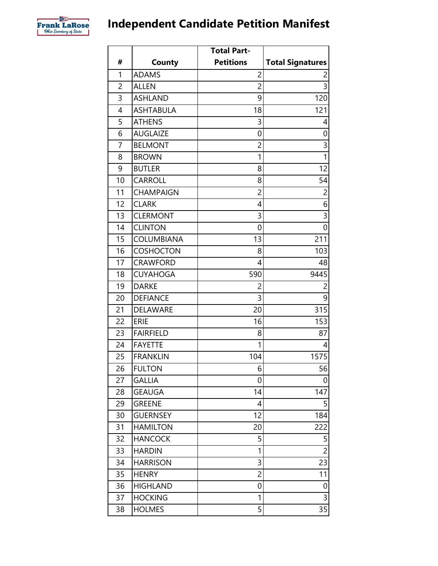

## **Independent Candidate Petition Manifest**

|                |                  | <b>Total Part-</b> |                         |
|----------------|------------------|--------------------|-------------------------|
| #              | County           | <b>Petitions</b>   | <b>Total Signatures</b> |
| 1              | <b>ADAMS</b>     | $\overline{2}$     | 2                       |
| 2              | <b>ALLEN</b>     | $\overline{c}$     | $\overline{3}$          |
| 3              | <b>ASHLAND</b>   | 9                  | 120                     |
| 4              | <b>ASHTABULA</b> | 18                 | 121                     |
| 5              | <b>ATHENS</b>    | 3                  | 4                       |
| 6              | <b>AUGLAIZE</b>  | 0                  | 0                       |
| $\overline{7}$ | <b>BELMONT</b>   | 2                  | 3                       |
| 8              | <b>BROWN</b>     | 1                  | $\overline{1}$          |
| 9              | <b>BUTLER</b>    | 8                  | 12                      |
| 10             | CARROLL          | 8                  | 54                      |
| 11             | <b>CHAMPAIGN</b> | $\overline{c}$     | $\overline{c}$          |
| 12             | <b>CLARK</b>     | 4                  | 6                       |
| 13             | <b>CLERMONT</b>  | 3                  | $\overline{3}$          |
| 14             | <b>CLINTON</b>   | 0                  | $\overline{0}$          |
| 15             | COLUMBIANA       | 13                 | 211                     |
| 16             | <b>COSHOCTON</b> | 8                  | 103                     |
| 17             | <b>CRAWFORD</b>  | 4                  | 48                      |
| 18             | <b>CUYAHOGA</b>  | 590                | 9445                    |
| 19             | <b>DARKE</b>     | $\overline{c}$     | $\overline{c}$          |
| 20             | <b>DEFIANCE</b>  | 3                  | 9                       |
| 21             | DELAWARE         | 20                 | 315                     |
| 22             | <b>ERIE</b>      | 16                 | 153                     |
| 23             | <b>FAIRFIELD</b> | 8                  | 87                      |
| 24             | <b>FAYETTE</b>   | 1                  | 4                       |
| 25             | <b>FRANKLIN</b>  | 104                | 1575                    |
| 26             | <b>FULTON</b>    | 6                  | 56                      |
| 27             | <b>GALLIA</b>    | 0                  | 0                       |
| 28             | <b>GEAUGA</b>    | 14                 | 147                     |
| 29             | <b>GREENE</b>    | 4                  | 5                       |
| 30             | <b>GUERNSEY</b>  | 12                 | 184                     |
| 31             | <b>HAMILTON</b>  | 20                 | 222                     |
| 32             | <b>HANCOCK</b>   | 5                  | 5                       |
| 33             | <b>HARDIN</b>    | 1                  | $\overline{c}$          |
| 34             | <b>HARRISON</b>  | 3                  | 23                      |
| 35             | <b>HENRY</b>     | $\overline{c}$     | 11                      |
| 36             | <b>HIGHLAND</b>  | 0                  | 0                       |
| 37             | <b>HOCKING</b>   | 1                  | $\mathsf{3}$            |
| 38             | <b>HOLMES</b>    | 5                  | 35                      |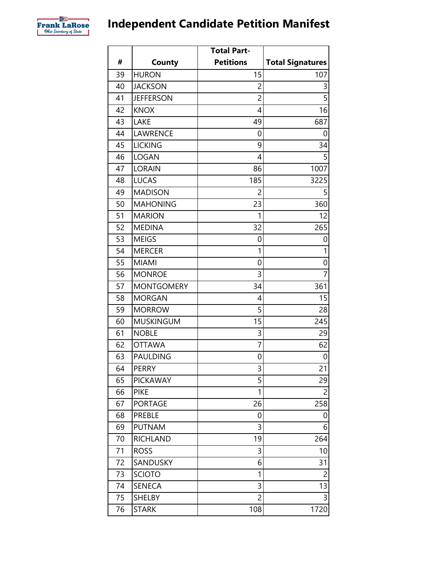

## **Independent Candidate Petition Manifest**

|    |                   | <b>Total Part-</b> |                         |
|----|-------------------|--------------------|-------------------------|
| #  | <b>County</b>     | <b>Petitions</b>   | <b>Total Signatures</b> |
| 39 | <b>HURON</b>      | 15                 | 107                     |
| 40 | <b>JACKSON</b>    | 2                  | 3                       |
| 41 | <b>JEFFERSON</b>  | $\overline{2}$     | $\overline{5}$          |
| 42 | <b>KNOX</b>       | 4                  | 16                      |
| 43 | LAKE              | 49                 | 687                     |
| 44 | <b>LAWRENCE</b>   | 0                  | 0                       |
| 45 | <b>LICKING</b>    | 9                  | 34                      |
| 46 | <b>LOGAN</b>      | 4                  | 5                       |
| 47 | <b>LORAIN</b>     | 86                 | 1007                    |
| 48 | <b>LUCAS</b>      | 185                | 3225                    |
| 49 | <b>MADISON</b>    | $\overline{2}$     | 5                       |
| 50 | <b>MAHONING</b>   | 23                 | 360                     |
| 51 | <b>MARION</b>     | 1                  | 12                      |
| 52 | <b>MEDINA</b>     | 32                 | 265                     |
| 53 | <b>MEIGS</b>      | 0                  | 0                       |
| 54 | <b>MERCER</b>     | 1                  | $\mathbf{1}$            |
| 55 | <b>MIAMI</b>      | 0                  | $\mathbf 0$             |
| 56 | <b>MONROE</b>     | 3                  | $\overline{7}$          |
| 57 | <b>MONTGOMERY</b> | 34                 | 361                     |
| 58 | <b>MORGAN</b>     | 4                  | 15                      |
| 59 | <b>MORROW</b>     | 5                  | 28                      |
| 60 | <b>MUSKINGUM</b>  | 15                 | 245                     |
| 61 | <b>NOBLE</b>      | 3                  | 29                      |
| 62 | <b>OTTAWA</b>     | $\overline{7}$     | 62                      |
| 63 | <b>PAULDING</b>   | 0                  | 0                       |
| 64 | <b>PERRY</b>      | 3                  | 21                      |
| 65 | <b>PICKAWAY</b>   | 5                  | 29                      |
| 66 | <b>PIKE</b>       | 1                  | $\overline{c}$          |
| 67 | <b>PORTAGE</b>    | 26                 | 258                     |
| 68 | PREBLE            | 0                  | 0                       |
| 69 | <b>PUTNAM</b>     | 3                  | 6                       |
| 70 | <b>RICHLAND</b>   | 19                 | 264                     |
| 71 | <b>ROSS</b>       | 3                  | 10                      |
| 72 | SANDUSKY          | 6                  | 31                      |
| 73 | <b>SCIOTO</b>     | 1                  | 2                       |
| 74 | <b>SENECA</b>     | 3                  | 13                      |
| 75 | <b>SHELBY</b>     | $\overline{c}$     | 3                       |
| 76 | <b>STARK</b>      | 108                | 1720                    |